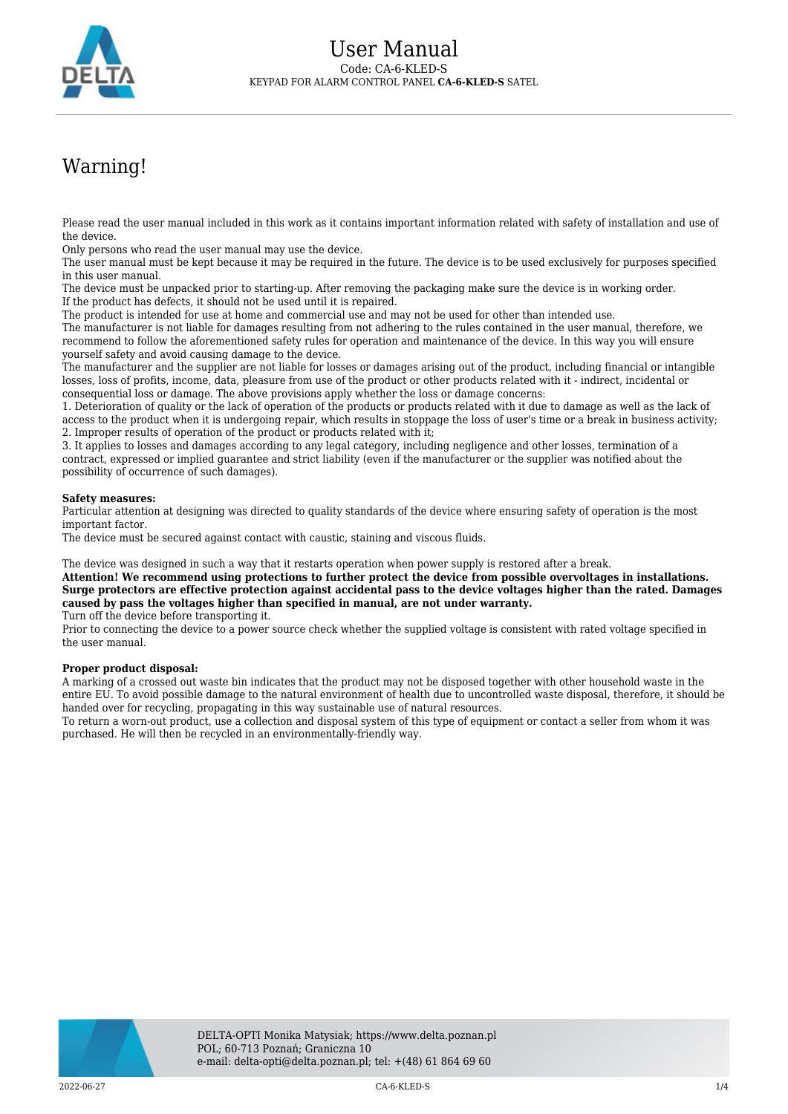

## Warning!

Please read the user manual included in this work as it contains important information related with safety of installation and use of the device.

Only persons who read the user manual may use the device.

The user manual must be kept because it may be required in the future. The device is to be used exclusively for purposes specified in this user manual.

The device must be unpacked prior to starting-up. After removing the packaging make sure the device is in working order. If the product has defects, it should not be used until it is repaired.

The product is intended for use at home and commercial use and may not be used for other than intended use.

The manufacturer is not liable for damages resulting from not adhering to the rules contained in the user manual, therefore, we recommend to follow the aforementioned safety rules for operation and maintenance of the device. In this way you will ensure yourself safety and avoid causing damage to the device.

The manufacturer and the supplier are not liable for losses or damages arising out of the product, including financial or intangible losses, loss of profits, income, data, pleasure from use of the product or other products related with it - indirect, incidental or consequential loss or damage. The above provisions apply whether the loss or damage concerns:

1. Deterioration of quality or the lack of operation of the products or products related with it due to damage as well as the lack of access to the product when it is undergoing repair, which results in stoppage the loss of user's time or a break in business activity; 2. Improper results of operation of the product or products related with it;

3. It applies to losses and damages according to any legal category, including negligence and other losses, termination of a contract, expressed or implied guarantee and strict liability (even if the manufacturer or the supplier was notified about the possibility of occurrence of such damages).

## **Safety measures:**

Particular attention at designing was directed to quality standards of the device where ensuring safety of operation is the most important factor.

The device must be secured against contact with caustic, staining and viscous fluids.

The device was designed in such a way that it restarts operation when power supply is restored after a break.

**Attention! We recommend using protections to further protect the device from possible overvoltages in installations. Surge protectors are effective protection against accidental pass to the device voltages higher than the rated. Damages caused by pass the voltages higher than specified in manual, are not under warranty.**

Turn off the device before transporting it.

Prior to connecting the device to a power source check whether the supplied voltage is consistent with rated voltage specified in the user manual.

## **Proper product disposal:**

A marking of a crossed out waste bin indicates that the product may not be disposed together with other household waste in the entire EU. To avoid possible damage to the natural environment of health due to uncontrolled waste disposal, therefore, it should be handed over for recycling, propagating in this way sustainable use of natural resources.

To return a worn-out product, use a collection and disposal system of this type of equipment or contact a seller from whom it was purchased. He will then be recycled in an environmentally-friendly way.

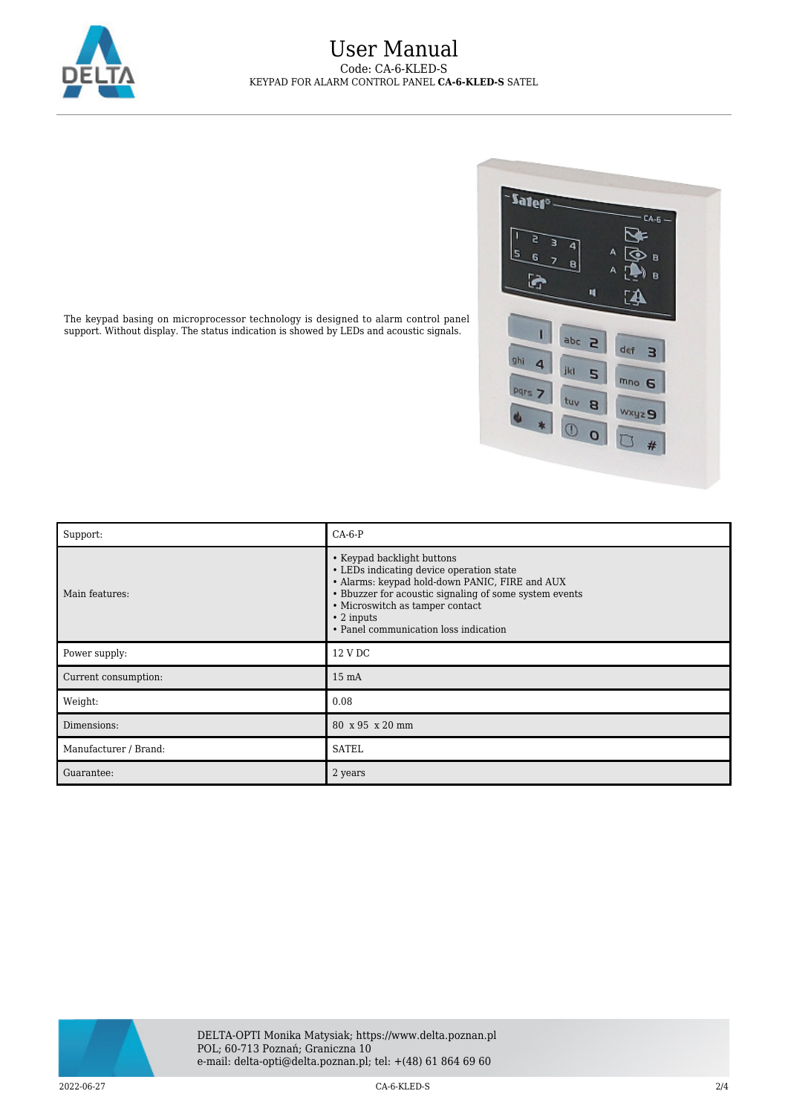

## User Manual Code: CA-6-KLED-S KEYPAD FOR ALARM CONTROL PANEL **CA-6-KLED-S** SATEL



The keypad basing on microprocessor technology is designed to alarm control panel support. Without display. The status indication is showed by LEDs and acoustic signals.

| Support:              | $CA-6-P$                                                                                                                                                                                                                                                                           |
|-----------------------|------------------------------------------------------------------------------------------------------------------------------------------------------------------------------------------------------------------------------------------------------------------------------------|
| Main features:        | • Keypad backlight buttons<br>• LEDs indicating device operation state<br>• Alarms: keypad hold-down PANIC, FIRE and AUX<br>• Bbuzzer for acoustic signaling of some system events<br>• Microswitch as tamper contact<br>$\cdot$ 2 inputs<br>• Panel communication loss indication |
| Power supply:         | 12 V DC                                                                                                                                                                                                                                                                            |
| Current consumption:  | $15 \text{ mA}$                                                                                                                                                                                                                                                                    |
| Weight:               | 0.08                                                                                                                                                                                                                                                                               |
| Dimensions:           | 80 x 95 x 20 mm                                                                                                                                                                                                                                                                    |
| Manufacturer / Brand: | <b>SATEL</b>                                                                                                                                                                                                                                                                       |
| Guarantee:            | 2 years                                                                                                                                                                                                                                                                            |



2022-06-27 CA-6-KLED-S 2/4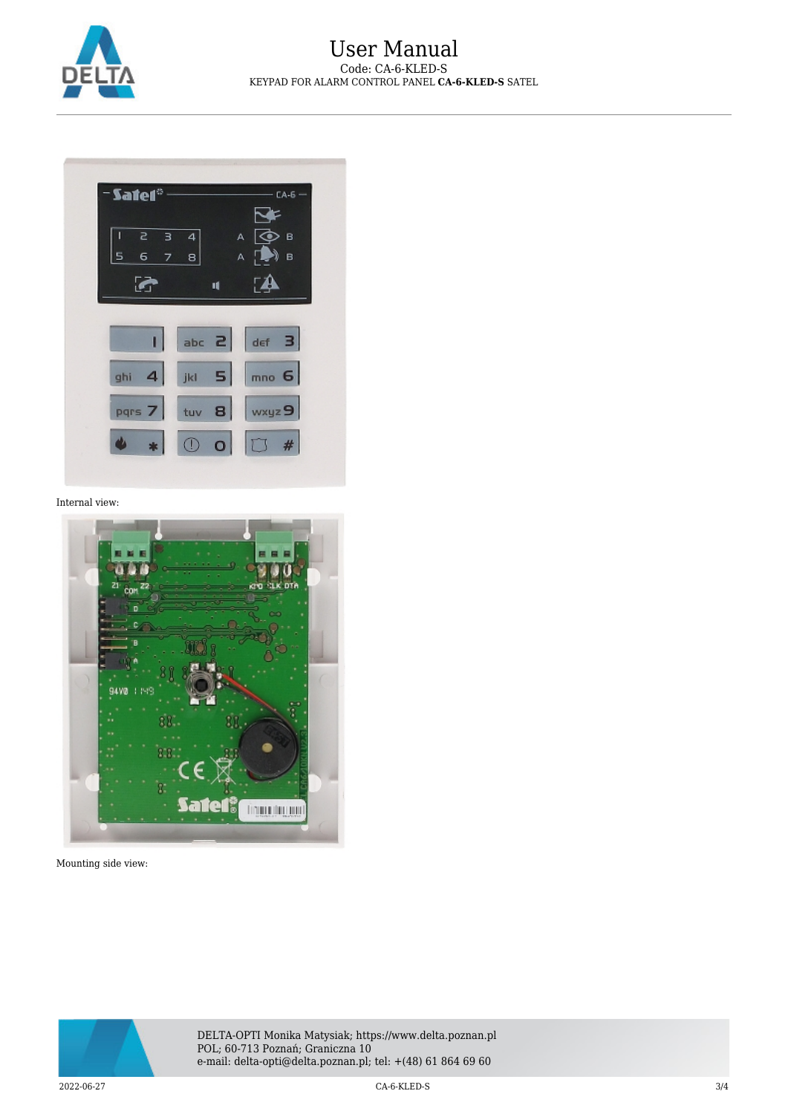



Internal view:



Mounting side view:



DELTA-OPTI Monika Matysiak; https://www.delta.poznan.pl POL; 60-713 Poznań; Graniczna 10 e-mail: delta-opti@delta.poznan.pl; tel: +(48) 61 864 69 60